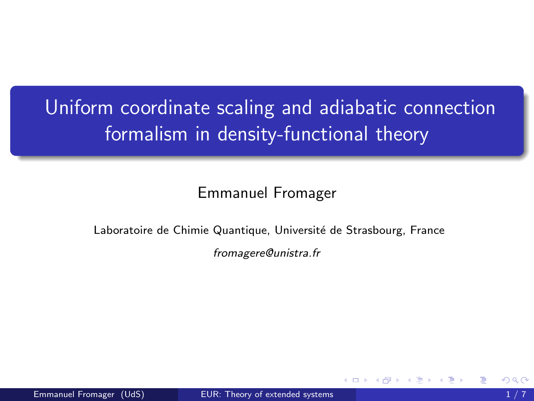# <span id="page-0-0"></span>Uniform coordinate scaling and adiabatic connection formalism in density-functional theory

### Emmanuel Fromager

#### Laboratoire de Chimie Quantique, Université de Strasbourg, France

fromagere@unistra.fr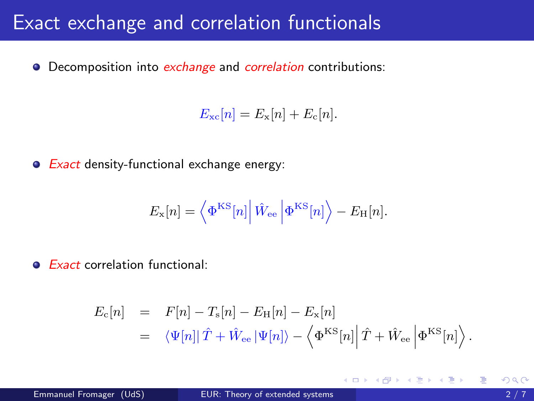## Exact exchange and correlation functionals

• Decomposition into *exchange* and *correlation* contributions:

 $E_{\rm xc}[n] = E_{\rm x}[n] + E_{\rm c}[n].$ 

• Exact density-functional exchange energy:

$$
E_{\rm x}[n] = \left\langle \Phi^{\rm KS}[n] \right| \hat{W}_{\rm ee} \left| \Phi^{\rm KS}[n] \right\rangle - E_{\rm H}[n].
$$

• Exact correlation functional:

$$
E_{\rm c}[n] = F[n] - T_{\rm s}[n] - E_{\rm H}[n] - E_{\rm x}[n]
$$
  
=  $\langle \Psi[n]|\hat{T} + \hat{W}_{\rm ee}|\Psi[n]\rangle - \langle \Phi^{\rm KS}[n]|\hat{T} + \hat{W}_{\rm ee}|\Phi^{\rm KS}[n]\rangle.$ 

K ロ ▶ K 優 ▶ K 결 ▶ K 결 ▶ ○ 결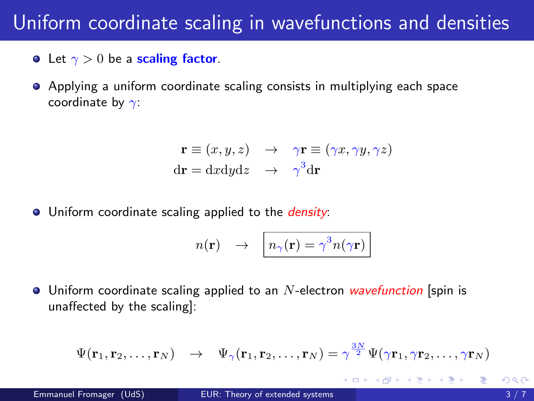# Uniform coordinate scaling in wavefunctions and densities

- Let  $\gamma > 0$  be a scaling factor.
- Applying a uniform coordinate scaling consists in multiplying each space coordinate by  $\gamma$ :

$$
\mathbf{r} \equiv (x, y, z) \rightarrow \gamma \mathbf{r} \equiv (\gamma x, \gamma y, \gamma z)
$$
  
dr = dxdydz  $\rightarrow \gamma^3 d\mathbf{r}$ 

**•** Uniform coordinate scaling applied to the *density*:

$$
n(\mathbf{r}) \quad \rightarrow \quad n_{\gamma}(\mathbf{r}) = \gamma^3 n(\gamma \mathbf{r})
$$

 $\bullet$  Uniform coordinate scaling applied to an *N*-electron *wavefunction* [spin is unaffected by the scaling]:

$$
\Psi(\mathbf{r}_1,\mathbf{r}_2,\ldots,\mathbf{r}_N) \quad \rightarrow \quad \Psi_{\gamma}(\mathbf{r}_1,\mathbf{r}_2,\ldots,\mathbf{r}_N) = \gamma^{\frac{3N}{2}}\Psi(\gamma\mathbf{r}_1,\gamma\mathbf{r}_2,\ldots,\gamma\mathbf{r}_N)
$$

∢何 ▶ ∢ ヨ ▶ ∢ ヨ ▶

4 D F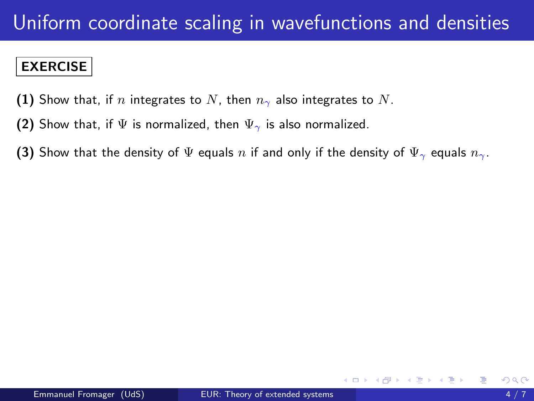### EXERCISE

- (1) Show that, if n integrates to N, then  $n_{\gamma}$  also integrates to N.
- (2) Show that, if  $\Psi$  is normalized, then  $\Psi_{\gamma}$  is also normalized.
- (3) Show that the density of  $\Psi$  equals n if and only if the density of  $\Psi_{\gamma}$  equals  $n_{\gamma}$ .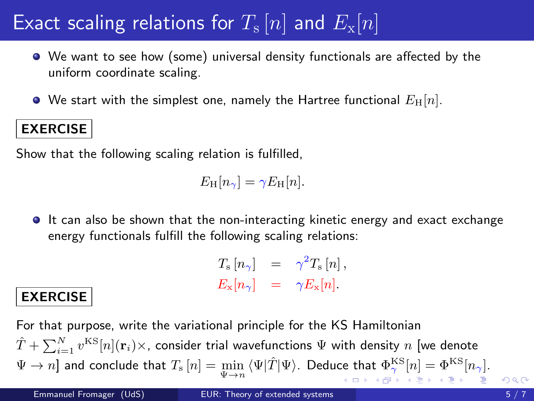# <span id="page-4-0"></span>Exact scaling relations for  $T_\mathrm{s}\left[n\right]$  and  $E_\mathrm{x}[n]$

- We want to see how (some) universal density functionals are affected by the uniform coordinate scaling.
- $\bullet$  We start with the simplest one, namely the Hartree functional  $E_{\rm H}[n]$ .

### EXERCISE

Show that the following scaling relation is fulfilled,

 $E_{\rm H}[n_{\gamma}] = \gamma E_{\rm H}[n].$ 

It can also be shown that the non-interacting kinetic energy and exact exchange energy functionals fulfill the following scaling relations:

| $T_{\rm s}\left[n_{\gamma}\right]$ | $\gamma^2 T_{\rm s}[n],$ |
|------------------------------------|--------------------------|
| $E_{\text{x}}[n_{\gamma}]$         | $\gamma E_{\rm x}[n]$ .  |

### EXERCISE

For that purpose, write the variational principle for the KS Hamiltonian  $\hat{T} + \sum_{i=1}^N v^{\text{KS}}[n] (\mathbf{r}_i) \times$ , consider trial wavefunctions  $\Psi$  with density  $n$  [we denote  $\Psi \to n$ ] and conclude that  $T_\mathrm{s}\left[n\right] = \min_{\Psi \to n} \, \langle \Psi | \hat{T} | \Psi \rangle$ . Deduce that  $\Phi_\mathrm{p}^\mathrm{KS}[n] = \Phi^\mathrm{KS}[n_\gamma]$ .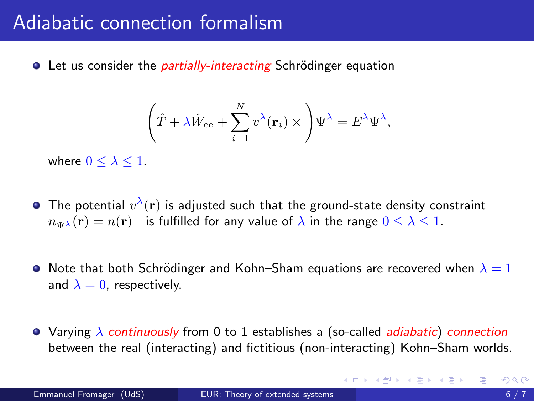## <span id="page-5-0"></span>Adiabatic connection formalism

**•** Let us consider the *partially-interacting* Schrödinger equation

$$
\left(\hat{T} + \lambda \hat{W}_{\text{ee}} + \sum_{i=1}^{N} v^{\lambda}(\mathbf{r}_i) \times \right) \Psi^{\lambda} = E^{\lambda} \Psi^{\lambda},
$$

where  $0 \leq \lambda \leq 1$ .

- The potential  $v^\lambda({\bf r})$  is adjusted such that the ground-state density constraint  $n_{\text{max}}(\mathbf{r}) = n(\mathbf{r})$  is fulfilled for any value of  $\lambda$  in the range  $0 \leq \lambda \leq 1$ .
- Note that both Schrödinger and Kohn–Sham equations are recovered when  $\lambda = 1$ and  $\lambda = 0$ , respectively.
- Varying  $\lambda$  continuously from 0 to 1 establishes a (so-called *adiabatic*) connection between the real (interacting) and fictitious (non-interacting) Kohn–Sham worlds.

K ロ ▶ K 倒 ▶ K 듣 ▶ K 듣 ▶ ...